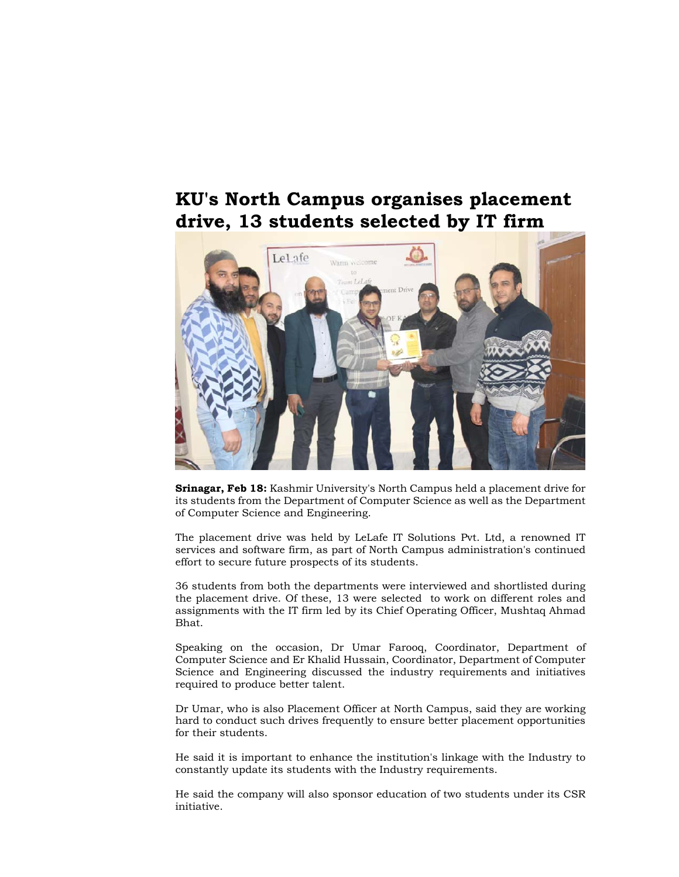## **KU's North Campus organises placement drive, 13 students selected by IT firm**



**Srinagar, Feb 18:** Kashmir University's North Campus held a placement drive for its students from the Department of Computer Science as well as the Department of Computer Science and Engineering.

The placement drive was held by LeLafe IT Solutions Pvt. Ltd, a renowned IT services and software firm, as part of North Campus administration's continued effort to secure future prospects of its students.

36 students from both the departments were interviewed and shortlisted during the placement drive. Of these, 13 were selected to work on different roles and assignments with the IT firm led by its Chief Operating Officer, Mushtaq Ahmad Bhat.

Speaking on the occasion, Dr Umar Farooq, Coordinator, Department of Computer Science and Er Khalid Hussain, Coordinator, Department of Computer Science and Engineering discussed the industry requirements and initiatives required to produce better talent.

Dr Umar, who is also Placement Officer at North Campus, said they are working hard to conduct such drives frequently to ensure better placement opportunities for their students.

He said it is important to enhance the institution's linkage with the Industry to constantly update its students with the Industry requirements.

He said the company will also sponsor education of two students under its CSR initiative.